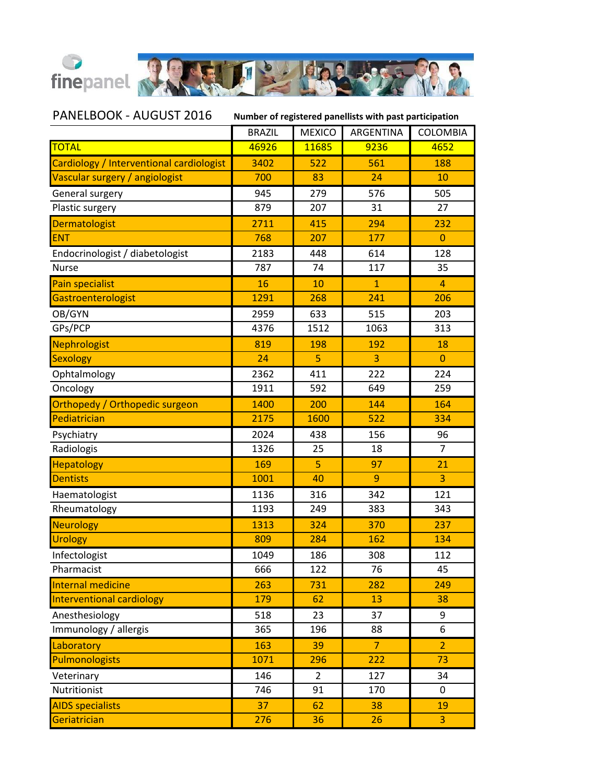

PANELBOOK - AUGUST 2016 **Number of registered panellists with past participation**

|                                          | <b>BRAZIL</b> | <b>MEXICO</b>  | ARGENTINA       | COLOMBIA       |
|------------------------------------------|---------------|----------------|-----------------|----------------|
| <b>TOTAL</b>                             | 46926         | 11685          | 9236            | 4652           |
| Cardiology / Interventional cardiologist | 3402          | 522            | 561             | 188            |
| Vascular surgery / angiologist           | 700           | 83             | 24              | 10             |
| General surgery                          | 945           | 279            | 576             | 505            |
| Plastic surgery                          | 879           | 207            | 31              | 27             |
| <b>Dermatologist</b>                     | 2711          | 415            | 294             | 232            |
| <b>ENT</b>                               | 768           | 207            | 177             | $\Omega$       |
| Endocrinologist / diabetologist          | 2183          | 448            | 614             | 128            |
| <b>Nurse</b>                             | 787           | 74             | 117             | 35             |
| <b>Pain specialist</b>                   | 16            | 10             | $\mathbf{1}$    | 4              |
| Gastroenterologist                       | 1291          | 268            | 241             | 206            |
| OB/GYN                                   | 2959          | 633            | 515             | 203            |
| GPs/PCP                                  | 4376          | 1512           | 1063            | 313            |
| <b>Nephrologist</b>                      | 819           | 198            | 192             | 18             |
| Sexology                                 | 24            | 5              | 3               | $\overline{0}$ |
| Ophtalmology                             | 2362          | 411            | 222             | 224            |
| Oncology                                 | 1911          | 592            | 649             | 259            |
| Orthopedy / Orthopedic surgeon           | 1400          | 200            | 144             | 164            |
| Pediatrician                             | 2175          | 1600           | 522             | 334            |
| Psychiatry                               | 2024          | 438            | 156             | 96             |
| Radiologis                               | 1326          | 25             | 18              | $\overline{7}$ |
| <b>Hepatology</b>                        | 169           | 5              | 97              | 21             |
| <b>Dentists</b>                          | 1001          | 40             | 9               | $\overline{3}$ |
| Haematologist                            | 1136          | 316            | 342             | 121            |
| Rheumatology                             | 1193          | 249            | 383             | 343            |
| <b>Neurology</b>                         | 1313          | 324            | 370             | 237            |
| <b>Urology</b>                           | 809           | 284            | 162             | 134            |
| Infectologist                            | 1049          | 186            | 308             | 112            |
| Pharmacist                               | 666           | 122            | $\overline{76}$ | 45             |
| <b>Internal medicine</b>                 | 263           | 731            | 282             | 249            |
| <b>Interventional cardiology</b>         | 179           | 62             | 13              | 38             |
| Anesthesiology                           | 518           | 23             | 37              | 9              |
| Immunology / allergis                    | 365           | 196            | 88              | 6              |
| Laboratory                               | 163           | 39             | $\overline{7}$  | $\overline{2}$ |
| <b>Pulmonologists</b>                    | 1071          | 296            | 222             | 73             |
| Veterinary                               | 146           | $\overline{2}$ | 127             | 34             |
| Nutritionist                             | 746           | 91             | 170             | 0              |
| <b>AIDS specialists</b>                  | 37            | 62             | 38              | 19             |
| Geriatrician                             | 276           | 36             | 26              | 3              |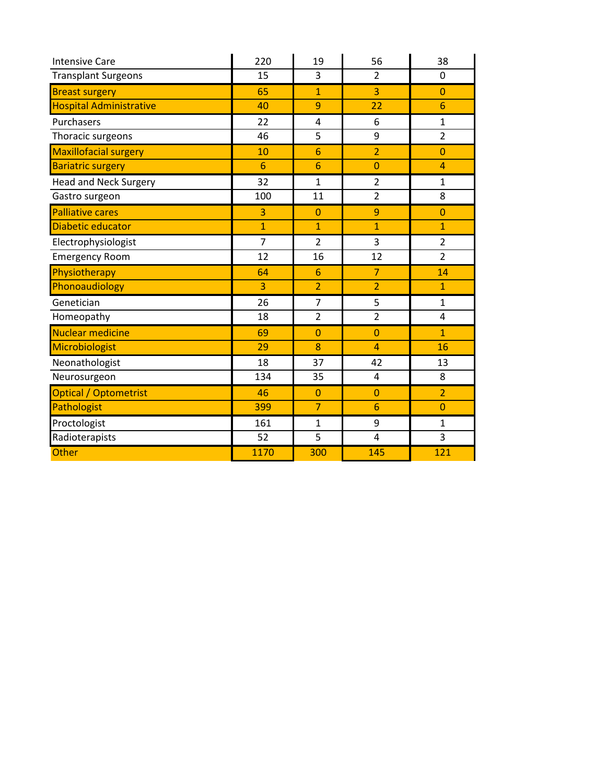| <b>Intensive Care</b>          | 220            | 19             | 56             | 38             |
|--------------------------------|----------------|----------------|----------------|----------------|
| <b>Transplant Surgeons</b>     | 15             | 3              | $\overline{2}$ | 0              |
| <b>Breast surgery</b>          | 65             | $\mathbf{1}$   | $\overline{3}$ | $\overline{0}$ |
| <b>Hospital Administrative</b> | 40             | 9              | 22             | 6              |
| Purchasers                     | 22             | 4              | 6              | 1              |
| Thoracic surgeons              | 46             | 5              | 9              | $\overline{2}$ |
| <b>Maxillofacial surgery</b>   | 10             | 6              | $\overline{2}$ | $\overline{0}$ |
| <b>Bariatric surgery</b>       | 6              | 6              | $\overline{0}$ | $\overline{4}$ |
| <b>Head and Neck Surgery</b>   | 32             | $\mathbf{1}$   | $\overline{2}$ | $\mathbf{1}$   |
| Gastro surgeon                 | 100            | 11             | $\overline{2}$ | 8              |
| <b>Palliative cares</b>        | 3              | $\Omega$       | 9              | $\Omega$       |
| Diabetic educator              | $\overline{1}$ | $\overline{1}$ | $\mathbf{1}$   | $\mathbf{1}$   |
| Electrophysiologist            | $\overline{7}$ | $\overline{2}$ | 3              | $\overline{2}$ |
| <b>Emergency Room</b>          | 12             | 16             | 12             | $\overline{2}$ |
| Physiotherapy                  | 64             | 6              | $\overline{7}$ | 14             |
| Phonoaudiology                 | $\overline{3}$ | $\overline{2}$ | $\overline{2}$ | $\overline{1}$ |
| Genetician                     | 26             | $\overline{7}$ | 5              | $\mathbf{1}$   |
| Homeopathy                     | 18             | $\overline{2}$ | $\overline{2}$ | 4              |
| Nuclear medicine               | 69             | $\overline{0}$ | $\overline{0}$ | $\mathbf{1}$   |
| Microbiologist                 | 29             | 8              | $\overline{4}$ | 16             |
| Neonathologist                 | 18             | 37             | 42             | 13             |
| Neurosurgeon                   | 134            | 35             | 4              | 8              |
| Optical / Optometrist          | 46             | 0              | $\overline{0}$ | $\overline{2}$ |
| Pathologist                    | 399            | $\overline{7}$ | 6              | $\overline{0}$ |
| Proctologist                   | 161            | $\mathbf{1}$   | 9              | $\mathbf{1}$   |
| Radioterapists                 | 52             | 5              | $\overline{4}$ | 3              |
| Other                          | 1170           | 300            | 145            | 121            |